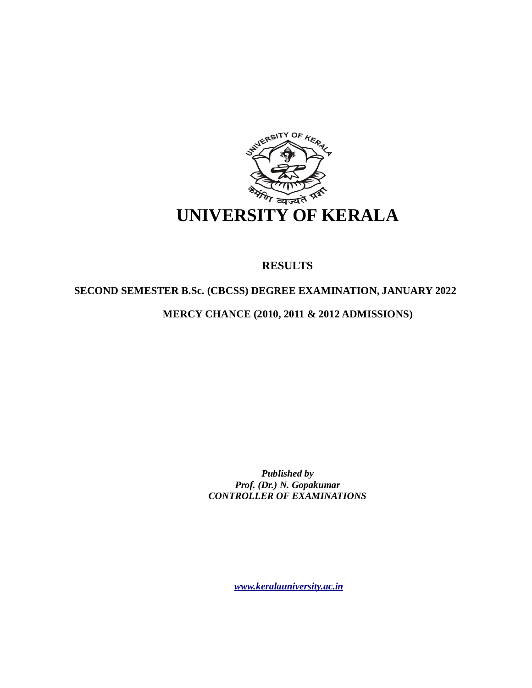

# **RESULTS**

# **SECOND SEMESTER B.Sc. (CBCSS) DEGREE EXAMINATION, JANUARY 2022**

# **MERCY CHANCE (2010, 2011 & 2012 ADMISSIONS)**

*Published by Prof. (Dr.) N. Gopakumar CONTROLLER OF EXAMINATIONS*

*[www.keralauniversity.ac.in](http://www.keralauniversity.ac.in)*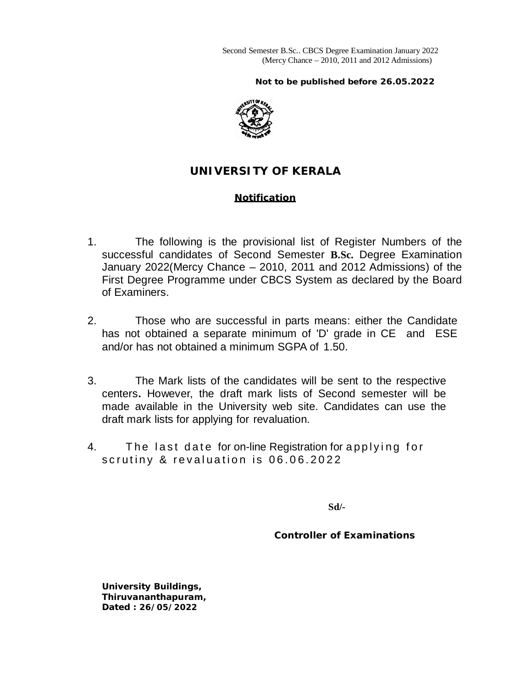Second Semester B.Sc.. CBCS Degree Examination January 2022 (Mercy Chance – 2010, 2011 and 2012 Admissions)

 **Not to be published before 26.05.2022**



# **UNIVERSITY OF KERALA**

## **Notification**

- 1. The following is the provisional list of Register Numbers of the successful candidates of Second Semester **B.Sc.** Degree Examination January 2022(Mercy Chance – 2010, 2011 and 2012 Admissions) of the First Degree Programme under CBCS System as declared by the Board of Examiners.
- 2. Those who are successful in parts means: either the Candidate has not obtained a separate minimum of 'D' grade in CE and ESE and/or has not obtained a minimum SGPA of 1.50.
- 3. The Mark lists of the candidates will be sent to the respective centers**.** However, the draft mark lists of Second semester will be made available in the University web site. Candidates can use the draft mark lists for applying for revaluation.
- 4. The last date for on-line Registration for applying for scrutiny & revaluation is 06.06.2022

**Sd/-**

 **Controller of Examinations**

**University Buildings, Thiruvananthapuram, Dated : 26/05/2022**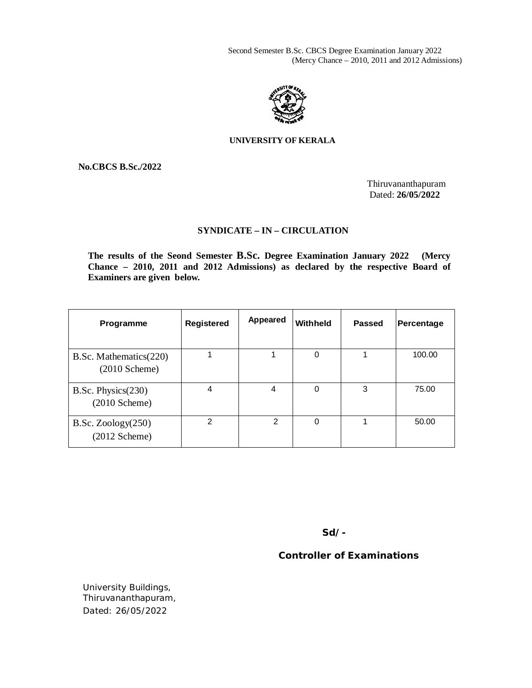Second Semester B.Sc. CBCS Degree Examination January 2022 (Mercy Chance – 2010, 2011 and 2012 Admissions)



## **UNIVERSITY OF KERALA**

**No.CBCS B.Sc./2022**

Thiruvananthapuram Dated: **26/05/2022**

## **SYNDICATE – IN – CIRCULATION**

**The results of the Seond Semester B.Sc. Degree Examination January 2022 (Mercy Chance – 2010, 2011 and 2012 Admissions) as declared by the respective Board of Examiners are given below.**

| Programme                                         | <b>Registered</b> | <b>Appeared</b> | Withheld | <b>Passed</b> | Percentage |
|---------------------------------------------------|-------------------|-----------------|----------|---------------|------------|
| B.Sc. Mathematics(220)<br>$(2010 \text{ Scheme})$ |                   |                 | 0        |               | 100.00     |
| B.Sc. Physics(230)<br>$(2010 \text{ Scheme})$     | 4                 | 4               | 0        | 3             | 75.00      |
| B.Sc. Zoology(250)<br>$(2012 \text{ Scheme})$     | 2                 | 2               | 0        |               | 50.00      |

**Sd/-** 

 **Controller of Examinations**

University Buildings, Thiruvananthapuram, Dated: 26/05/2022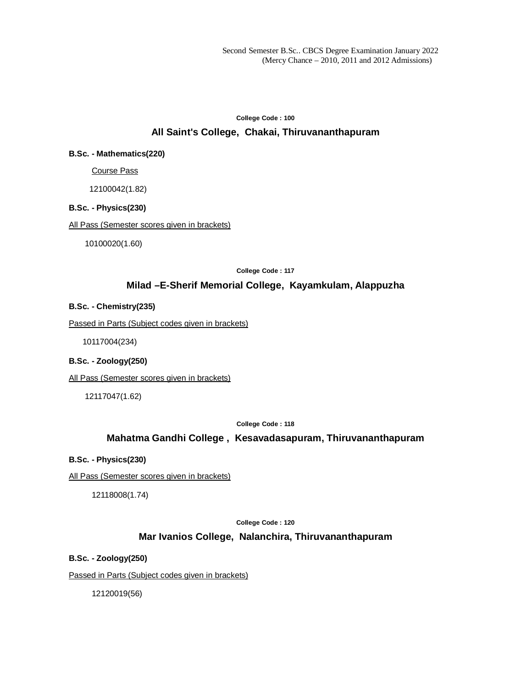# **College Code : 100 All Saint's College, Chakai, Thiruvananthapuram**

#### **B.Sc. - Mathematics(220)**

Course Pass

12100042(1.82)

## **B.Sc. - Physics(230)**

All Pass (Semester scores given in brackets)

10100020(1.60)

**College Code : 117**

## **Milad –E-Sherif Memorial College, Kayamkulam, Alappuzha**

#### **B.Sc. - Chemistry(235)**

Passed in Parts (Subject codes given in brackets)

10117004(234)

#### **B.Sc. - Zoology(250)**

All Pass (Semester scores given in brackets)

12117047(1.62)

**College Code : 118**

## **Mahatma Gandhi College , Kesavadasapuram, Thiruvananthapuram**

#### **B.Sc. - Physics(230)**

All Pass (Semester scores given in brackets)

12118008(1.74)

#### **College Code : 120**

## **Mar Ivanios College, Nalanchira, Thiruvananthapuram**

**B.Sc. - Zoology(250)**

Passed in Parts (Subject codes given in brackets)

12120019(56)